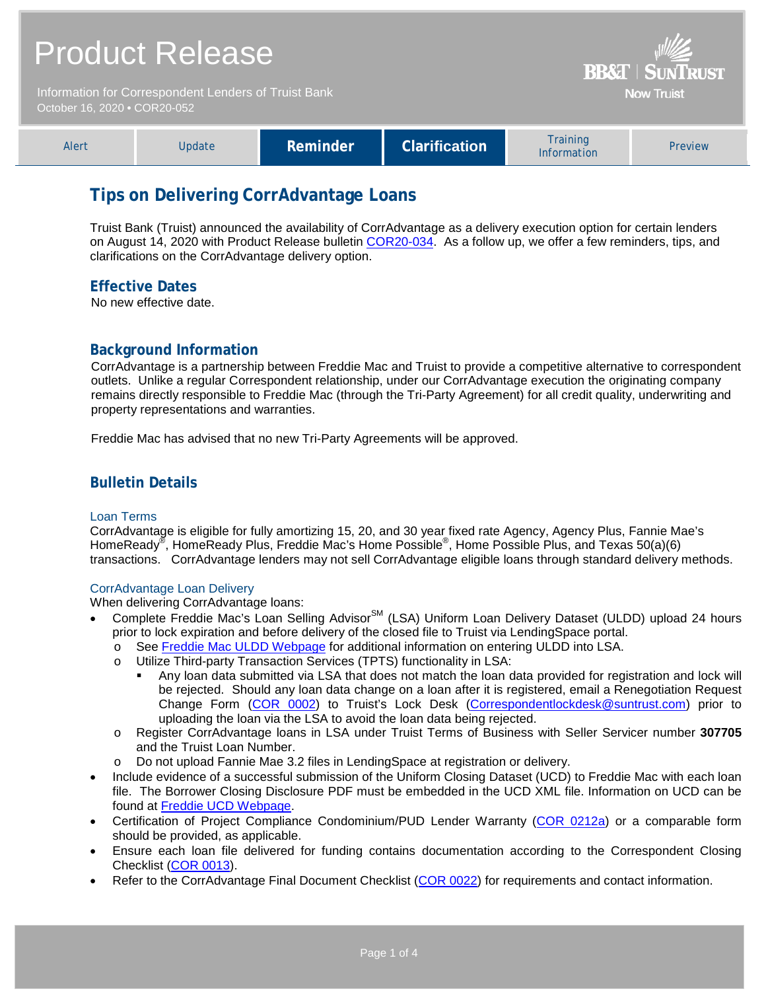| <b>Product Release</b><br>Information for Correspondent Lenders of Truist Bank<br>October 16, 2020 . COR20-052 |               |          |                      |                                | <b>BB&amp;T   SUNTRUST</b><br><b>Now Truist</b> |
|----------------------------------------------------------------------------------------------------------------|---------------|----------|----------------------|--------------------------------|-------------------------------------------------|
| Alert                                                                                                          | <b>Update</b> | Reminder | <b>Clarification</b> | <b>Training</b><br>Information | Preview                                         |

# **Tips on Delivering CorrAdvantage Loans**

Truist Bank (Truist) announced the availability of CorrAdvantage as a delivery execution option for certain lenders on August 14, 2020 with Product Release bulletin [COR20-034.](https://www.truistsellerguide.com/Manual/cor/bulletins/archive/Cr20-034.pdf) As a follow up, we offer a few reminders, tips, and clarifications on the CorrAdvantage delivery option.

## **Effective Dates**

No new effective date.

## **Background Information**

CorrAdvantage is a partnership between Freddie Mac and Truist to provide a competitive alternative to correspondent outlets. Unlike a regular Correspondent relationship, under our CorrAdvantage execution the originating company remains directly responsible to Freddie Mac (through the Tri-Party Agreement) for all credit quality, underwriting and property representations and warranties.

Freddie Mac has advised that no new Tri-Party Agreements will be approved.

## **Bulletin Details**

#### Loan Terms

CorrAdvantage is eligible for fully amortizing 15, 20, and 30 year fixed rate Agency, Agency Plus, Fannie Mae's HomeReady® , HomeReady Plus, Freddie Mac's Home Possible® , Home Possible Plus, and Texas 50(a)(6) transactions. CorrAdvantage lenders may not sell CorrAdvantage eligible loans through standard delivery methods.

#### CorrAdvantage Loan Delivery

When delivering CorrAdvantage loans:

- Complete Freddie Mac's Loan Selling Advisor<sup>SM</sup> (LSA) Uniform Loan Delivery Dataset (ULDD) upload 24 hours prior to lock expiration and before delivery of the closed file to Truist via LendingSpace portal.
	- o See [Freddie Mac ULDD Webpage](https://sf.freddiemac.com/tools-learning/uniform-mortgage-data-program/uldd) for additional information on entering ULDD into LSA.<br>
	O Utilize Third-party Transaction Services (TPTS) functionality in LSA:
	- Utilize Third-party Transaction Services (TPTS) functionality in LSA:
		- Any loan data submitted via LSA that does not match the loan data provided for registration and lock will be rejected. Should any loan data change on a loan after it is registered, email a Renegotiation Request Change Form [\(COR 0002\)](http://www.truistsellerguide.com/manual/cor/forms/COR0002.pdf) to Truist's Lock Desk (Correspondentlockdesk@suntrust.com) prior to uploading the loan via the LSA to avoid the loan data being rejected.
	- o Register CorrAdvantage loans in LSA under Truist Terms of Business with Seller Servicer number **307705** and the Truist Loan Number.
	- o Do not upload Fannie Mae 3.2 files in LendingSpace at registration or delivery.
- Include evidence of a successful submission of the Uniform Closing Dataset (UCD) to Freddie Mac with each loan file. The Borrower Closing Disclosure PDF must be embedded in the UCD XML file. Information on UCD can be found at [Freddie UCD Webpage.](https://sf.freddiemac.com/tools-learning/uniform-mortgage-data-program/ucd)
- Certification of Project Compliance Condominium/PUD Lender Warranty [\(COR 0212a\)](https://www.truistsellerguide.com/manual/cor/forms/cor0212a.pdf) or a comparable form should be provided, as applicable.
- Ensure each loan file delivered for funding contains documentation according to the Correspondent Closing Checklist [\(COR 0013\)](http://www.truistsellerguide.com/manual/cor/forms/cor0013.pdf).
- Refer to the CorrAdvantage Final Document Checklist [\(COR 0022\)](http://www.truistsellerguide.com/manual/cor/forms/COR0022.pdf) for requirements and contact information.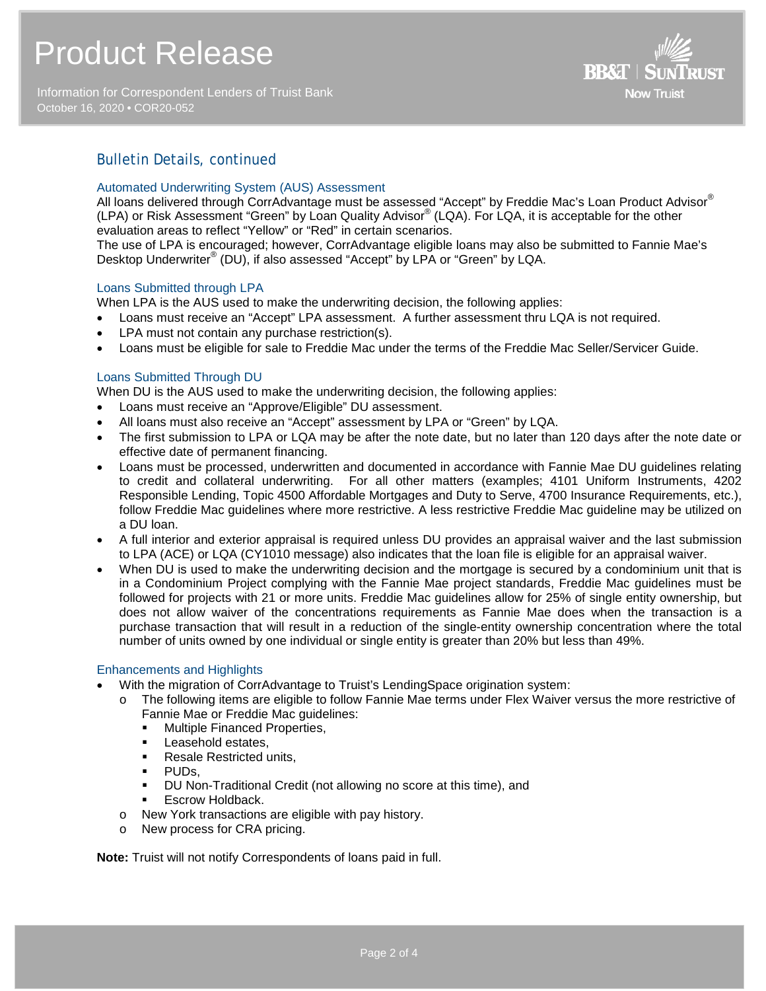# Product Release

Information for Correspondent Lenders of Truist Bank October 16, 2020 **•** COR20-052



## Bulletin Details, continued

#### Automated Underwriting System (AUS) Assessment

All loans delivered through CorrAdvantage must be assessed "Accept" by Freddie Mac's Loan Product Advisor® (LPA) or Risk Assessment "Green" by Loan Quality Advisor® (LQA). For LQA, it is acceptable for the other evaluation areas to reflect "Yellow" or "Red" in certain scenarios.

The use of LPA is encouraged; however, CorrAdvantage eligible loans may also be submitted to Fannie Mae's Desktop Underwriter® (DU), if also assessed "Accept" by LPA or "Green" by LQA.

#### Loans Submitted through LPA

When LPA is the AUS used to make the underwriting decision, the following applies:

- Loans must receive an "Accept" LPA assessment. A further assessment thru LQA is not required.
- LPA must not contain any purchase restriction(s).
- Loans must be eligible for sale to Freddie Mac under the terms of the Freddie Mac Seller/Servicer Guide.

#### Loans Submitted Through DU

When DU is the AUS used to make the underwriting decision, the following applies:

- Loans must receive an "Approve/Eligible" DU assessment.
- All loans must also receive an "Accept" assessment by LPA or "Green" by LQA.
- The first submission to LPA or LQA may be after the note date, but no later than 120 days after the note date or effective date of permanent financing.
- Loans must be processed, underwritten and documented in accordance with Fannie Mae DU guidelines relating to credit and collateral underwriting. For all other matters (examples; 4101 Uniform Instruments, 4202 Responsible Lending, Topic 4500 Affordable Mortgages and Duty to Serve, 4700 Insurance Requirements, etc.), follow Freddie Mac guidelines where more restrictive. A less restrictive Freddie Mac guideline may be utilized on a DU loan.
- A full interior and exterior appraisal is required unless DU provides an appraisal waiver and the last submission to LPA (ACE) or LQA (CY1010 message) also indicates that the loan file is eligible for an appraisal waiver.
- When DU is used to make the underwriting decision and the mortgage is secured by a condominium unit that is in a Condominium Project complying with the Fannie Mae project standards, Freddie Mac guidelines must be followed for projects with 21 or more units. Freddie Mac guidelines allow for 25% of single entity ownership, but does not allow waiver of the concentrations requirements as Fannie Mae does when the transaction is a purchase transaction that will result in a reduction of the single-entity ownership concentration where the total number of units owned by one individual or single entity is greater than 20% but less than 49%.

#### Enhancements and Highlights

- With the migration of CorrAdvantage to Truist's LendingSpace origination system:
	- o The following items are eligible to follow Fannie Mae terms under Flex Waiver versus the more restrictive of Fannie Mae or Freddie Mac guidelines:
		- **Multiple Financed Properties,**
		- **Leasehold estates,**
		- Resale Restricted units.
		- PUDs,
		- DU Non-Traditional Credit (not allowing no score at this time), and
		- Escrow Holdback.
	- o New York transactions are eligible with pay history.
	- o New process for CRA pricing.

**Note:** Truist will not notify Correspondents of loans paid in full.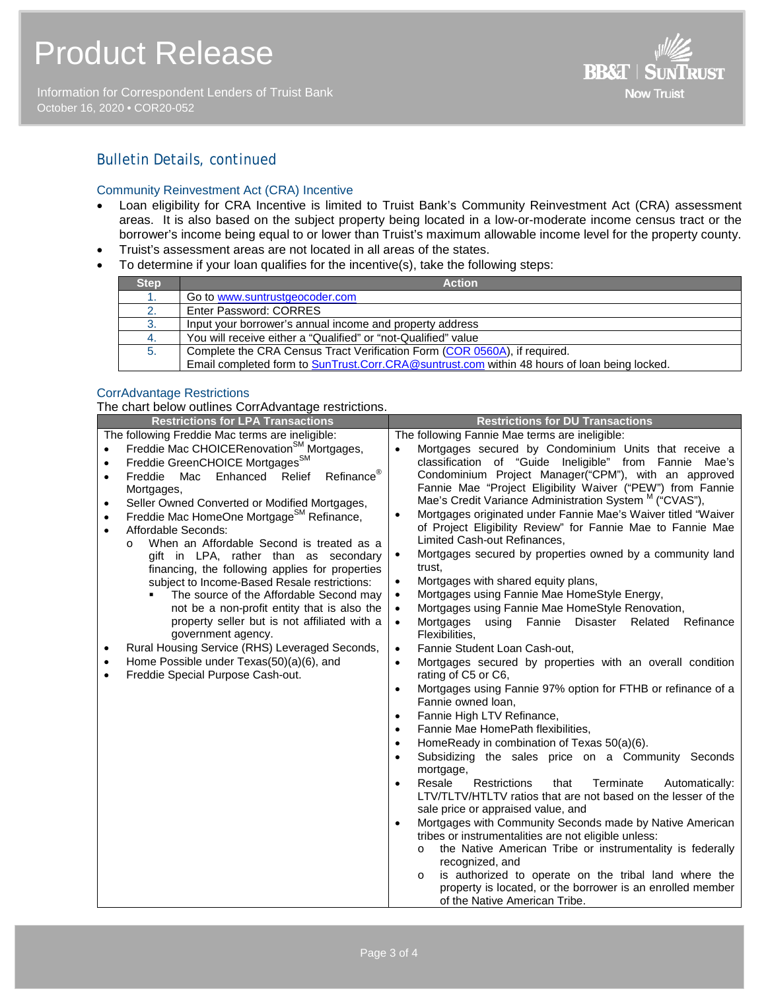Information for Correspondent Lenders of Truist Bank October 16, 2020 **•** COR20-052



## Bulletin Details, *continued*

#### Community Reinvestment Act (CRA) Incentive

- Loan eligibility for CRA Incentive is limited to Truist Bank's Community Reinvestment Act (CRA) assessment areas. It is also based on the subject property being located in a low-or-moderate income census tract or the borrower's income being equal to or lower than Truist's maximum allowable income level for the property county.
- Truist's assessment areas are not located in all areas of the states.
- To determine if your loan qualifies for the incentive(s), take the following steps:

| <b>Step</b> | <b>Action</b>                                                                                |
|-------------|----------------------------------------------------------------------------------------------|
|             | Go to www.suntrustgeocoder.com                                                               |
| 2.          | Enter Password: CORRES                                                                       |
| 3.          | Input your borrower's annual income and property address                                     |
| 4.          | You will receive either a "Qualified" or "not-Qualified" value                               |
| 5.          | Complete the CRA Census Tract Verification Form (COR 0560A), if required.                    |
|             | Email completed form to SunTrust.Corr.CRA@suntrust.com within 48 hours of loan being locked. |

## CorrAdvantage Restrictions

The chart below outlines CorrAdvantage restrictions.